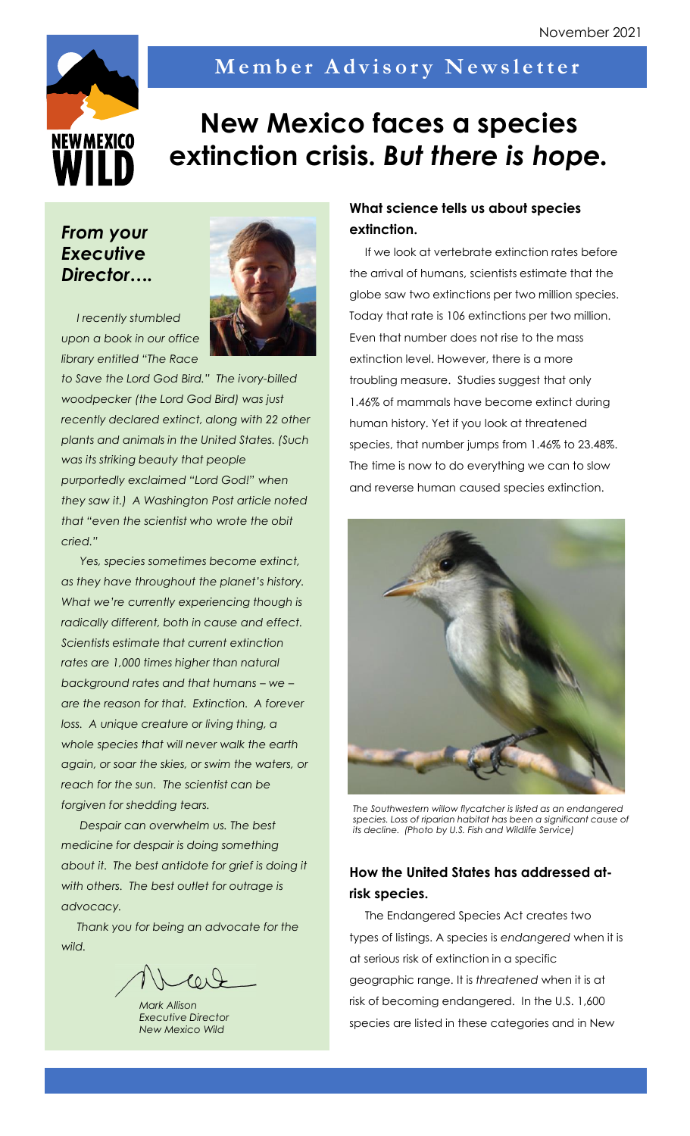

## Member Advisory Newsletter

# **New Mexico faces a species extinction crisis.** *But there is hope.*

### *From your Executive Director….*



*I recently stumbled upon a book in our office library entitled "The Race* 

*to Save the Lord God Bird." The ivory-billed woodpecker (the Lord God Bird) was just recently declared extinct, along with 22 other plants and animals in the United States. (Such was its striking beauty that people purportedly exclaimed "Lord God!" when they saw it.) A Washington Post article noted that "even the scientist who wrote the obit cried."*

*Yes, species sometimes become extinct, as they have throughout the planet's history. What we're currently experiencing though is radically different, both in cause and effect. Scientists estimate that current extinction rates are 1,000 times higher than natural background rates and that humans – we – are the reason for that. Extinction. A forever loss. A unique creature or living thing, a whole species that will never walk the earth again, or soar the skies, or swim the waters, or reach for the sun. The scientist can be forgiven for shedding tears.* 

*Despair can overwhelm us. The best medicine for despair is doing something about it. The best antidote for grief is doing it with others. The best outlet for outrage is advocacy.* 

*Thank you for being an advocate for the wild.*

 $P_{01}$ 

*Mark Allison Executive Director New Mexico Wild*

#### **What science tells us about species extinction.**

If we look at vertebrate extinction rates before the arrival of humans, scientists estimate that the globe saw two extinctions per two million species. Today that rate is 106 extinctions per two million. Even that number does not rise to the mass extinction level. However, there is a more troubling measure. Studies suggest that only 1.46% of mammals have become extinct during human history. Yet if you look at threatened species, that number jumps from 1.46% to 23.48%. The time is now to do everything we can to slow and reverse human caused species extinction.



*The Southwestern willow flycatcher is listed as an endangered species. Loss of riparian habitat has been a significant cause of its decline. (Photo by U.S. Fish and Wildlife Service)*

#### **How the United States has addressed atrisk species.**

The Endangered Species Act creates two types of listings. A species is *endangered* when it is at serious risk of extinction in a specific geographic range. It is *threatened* when it is at risk of becoming endangered. In the U.S. 1,600 species are listed in these categories and in New